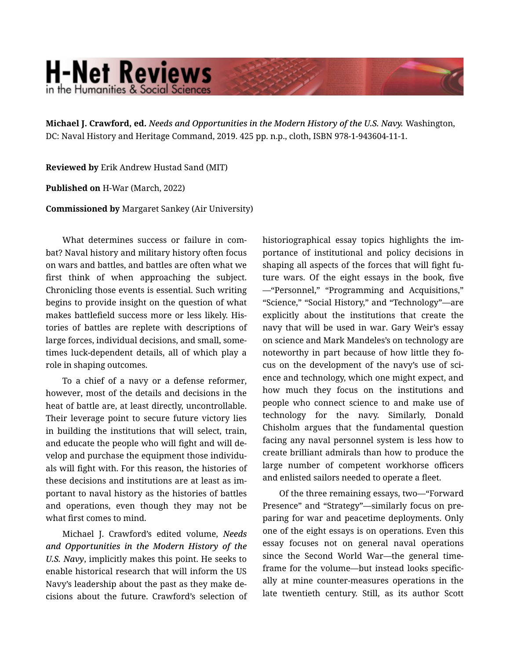## **H-Net Reviews** in the Humanities & Social Science

**Michael J. Crawford, ed.** *Needs and Opportunities in the Modern History of the U.S. Navy.* Washington, DC: Naval History and Heritage Command, 2019. 425 pp. n.p., cloth, ISBN 978-1-943604-11-1.

**Reviewed by** Erik Andrew Hustad Sand (MIT)

**Published on** H-War (March, 2022)

**Commissioned by** Margaret Sankey (Air University)

What determines success or failure in combat? Naval history and military history often focus on wars and battles, and battles are often what we first think of when approaching the subject. Chronicling those events is essential. Such writing begins to provide insight on the question of what makes battlefield success more or less likely. His‐ tories of battles are replete with descriptions of large forces, individual decisions, and small, some‐ times luck-dependent details, all of which play a role in shaping outcomes.

To a chief of a navy or a defense reformer, however, most of the details and decisions in the heat of battle are, at least directly, uncontrollable. Their leverage point to secure future victory lies in building the institutions that will select, train, and educate the people who will fight and will de‐ velop and purchase the equipment those individu‐ als will fight with. For this reason, the histories of these decisions and institutions are at least as im‐ portant to naval history as the histories of battles and operations, even though they may not be what first comes to mind.

Michael J. Crawford's edited volume, *Needs and Opportunities in the Modern History of the U.S. Navy*, implicitly makes this point. He seeks to enable historical research that will inform the US Navy's leadership about the past as they make de‐ cisions about the future. Crawford's selection of historiographical essay topics highlights the im‐ portance of institutional and policy decisions in shaping all aspects of the forces that will fight fu‐ ture wars. Of the eight essays in the book, five —"Personnel," "Programming and Acquisitions," "Science," "Social History," and "Technology"—are explicitly about the institutions that create the navy that will be used in war. Gary Weir's essay on science and Mark Mandeles's on technology are noteworthy in part because of how little they fo‐ cus on the development of the navy's use of science and technology, which one might expect, and how much they focus on the institutions and people who connect science to and make use of technology for the navy. Similarly, Donald Chisholm argues that the fundamental question facing any naval personnel system is less how to create brilliant admirals than how to produce the large number of competent workhorse officers and enlisted sailors needed to operate a fleet.

Of the three remaining essays, two—"Forward Presence" and "Strategy"—similarly focus on pre‐ paring for war and peacetime deployments. Only one of the eight essays is on operations. Even this essay focuses not on general naval operations since the Second World War—the general time‐ frame for the volume—but instead looks specific‐ ally at mine counter-measures operations in the late twentieth century. Still, as its author Scott